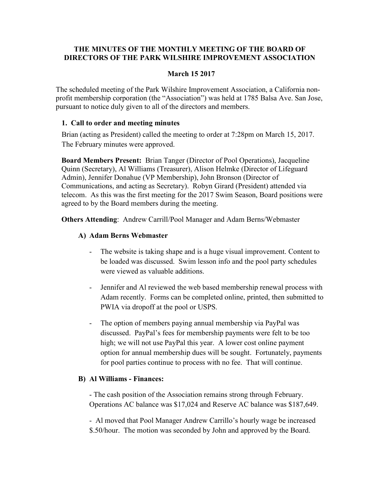# THE MINUTES OF THE MONTHLY MEETING OF THE BOARD OF DIRECTORS OF THE PARK WILSHIRE IMPROVEMENT ASSOCIATION

## March 15 2017

The scheduled meeting of the Park Wilshire Improvement Association, a California nonprofit membership corporation (the "Association") was held at 1785 Balsa Ave. San Jose, pursuant to notice duly given to all of the directors and members.

## 1. Call to order and meeting minutes

Brian (acting as President) called the meeting to order at 7:28pm on March 15, 2017. The February minutes were approved.

Board Members Present: Brian Tanger (Director of Pool Operations), Jacqueline Quinn (Secretary), Al Williams (Treasurer), Alison Helmke (Director of Lifeguard Admin), Jennifer Donahue (VP Membership), John Bronson (Director of Communications, and acting as Secretary). Robyn Girard (President) attended via telecom. As this was the first meeting for the 2017 Swim Season, Board positions were agreed to by the Board members during the meeting.

Others Attending: Andrew Carrill/Pool Manager and Adam Berns/Webmaster

# A) Adam Berns Webmaster

- The website is taking shape and is a huge visual improvement. Content to be loaded was discussed. Swim lesson info and the pool party schedules were viewed as valuable additions.
- Jennifer and Al reviewed the web based membership renewal process with Adam recently. Forms can be completed online, printed, then submitted to PWIA via dropoff at the pool or USPS.
- The option of members paying annual membership via PayPal was discussed. PayPal's fees for membership payments were felt to be too high; we will not use PayPal this year. A lower cost online payment option for annual membership dues will be sought. Fortunately, payments for pool parties continue to process with no fee. That will continue.

### B) Al Williams - Finances:

- The cash position of the Association remains strong through February. Operations AC balance was \$17,024 and Reserve AC balance was \$187,649.

- Al moved that Pool Manager Andrew Carrillo's hourly wage be increased \$.50/hour. The motion was seconded by John and approved by the Board.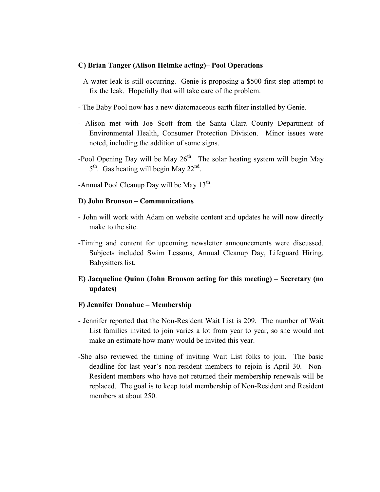#### C) Brian Tanger (Alison Helmke acting)– Pool Operations

- A water leak is still occurring. Genie is proposing a \$500 first step attempt to fix the leak. Hopefully that will take care of the problem.
- The Baby Pool now has a new diatomaceous earth filter installed by Genie.
- Alison met with Joe Scott from the Santa Clara County Department of Environmental Health, Consumer Protection Division. Minor issues were noted, including the addition of some signs.
- -Pool Opening Day will be May  $26<sup>th</sup>$ . The solar heating system will begin May 5<sup>th</sup>. Gas heating will begin May 22<sup>nd</sup>.
- -Annual Pool Cleanup Day will be May  $13^{th}$ .

### D) John Bronson – Communications

- John will work with Adam on website content and updates he will now directly make to the site.
- -Timing and content for upcoming newsletter announcements were discussed. Subjects included Swim Lessons, Annual Cleanup Day, Lifeguard Hiring, Babysitters list.
- E) Jacqueline Quinn (John Bronson acting for this meeting) Secretary (no updates)

#### F) Jennifer Donahue – Membership

- Jennifer reported that the Non-Resident Wait List is 209. The number of Wait List families invited to join varies a lot from year to year, so she would not make an estimate how many would be invited this year.
- -She also reviewed the timing of inviting Wait List folks to join. The basic deadline for last year's non-resident members to rejoin is April 30. Non-Resident members who have not returned their membership renewals will be replaced. The goal is to keep total membership of Non-Resident and Resident members at about 250.